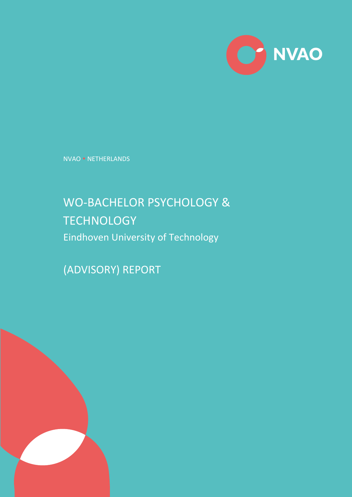

NVAO NETHERLANDS

# WO-BACHELOR PSYCHOLOGY & **TECHNOLOGY** Eindhoven University of Technology

(ADVISORY) REPORT

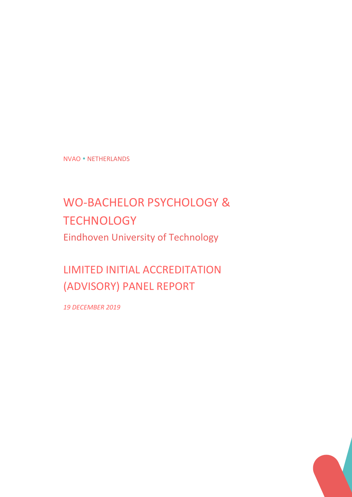NVAO NETHERLANDS

# WO-BACHELOR PSYCHOLOGY & **TECHNOLOGY** Eindhoven University of Technology

LIMITED INITIAL ACCREDITATION (ADVISORY) PANEL REPORT

*19 DECEMBER 2019*

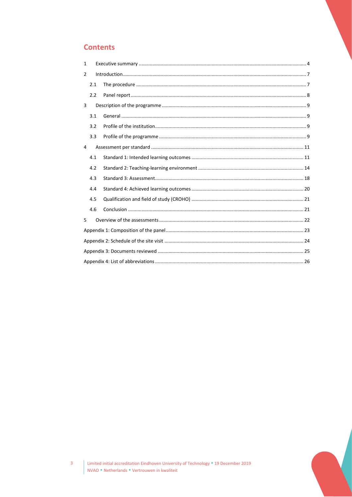## **Contents**

| 1 |     |  |  |  |  |
|---|-----|--|--|--|--|
| 2 |     |  |  |  |  |
|   | 2.1 |  |  |  |  |
|   | 2.2 |  |  |  |  |
| 3 |     |  |  |  |  |
|   | 3.1 |  |  |  |  |
|   | 3.2 |  |  |  |  |
|   | 3.3 |  |  |  |  |
| 4 |     |  |  |  |  |
|   | 4.1 |  |  |  |  |
|   | 4.2 |  |  |  |  |
|   | 4.3 |  |  |  |  |
|   | 4.4 |  |  |  |  |
|   | 4.5 |  |  |  |  |
|   | 4.6 |  |  |  |  |
| 5 |     |  |  |  |  |
|   |     |  |  |  |  |
|   |     |  |  |  |  |
|   |     |  |  |  |  |
|   |     |  |  |  |  |



 $\overline{3}$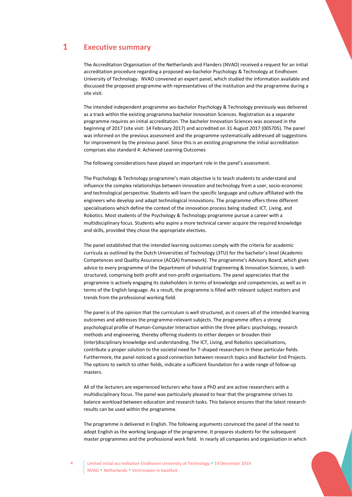### <span id="page-3-0"></span>1 **Executive summary**

The Accreditation Organisation of the Netherlands and Flanders (NVAO) received a request for an initial accreditation procedure regarding a proposed wo-bachelor Psychology & Technology at Eindhoven University of Technology. NVAO convened an expert panel, which studied the information available and discussed the proposed programme with representatives of the institution and the programme during a site visit.

The intended independent programme wo-bachelor Psychology & Technology previously was delivered as a track within the existing programma bachelor Innovation Sciences. Registration as a separate programme requires an initial accreditation. The bachelor Innovation Sciences was assessed in the beginning of 2017 (site visit: 14 February 2017) and accredited on 31 August 2017 (005705). The panel was informed on the previous assessment and the programme systematically addressed all suggestions for improvement by the previous panel. Since this is an existing programme the initial accreditation comprises also standard 4: Achieved Learning Outcomes

The following considerations have played an important role in the panel's assessment.

The Psychology & Technology programme's main objective is to teach students to understand and influence the complex relationships between innovation and technology from a user, socio-economic and technological perspective. Students will learn the specific language and culture affiliated with the engineers who develop and adapt technological innovations. The programme offers three different specialisations which define the context of the innovation process being studied: ICT, Living, and Robotics. Most students of the Psychology & Technology programme pursue a career with a multidisciplinary focus. Students who aspire a more technical career acquire the required knowledge and skills, provided they chose the appropriate electives.

The panel established that the intended learning outcomes comply with the criteria for academic curricula as outlined by the Dutch Universities of Technology (3TU) for the bachelor's level (Academic Competences and Quality Assurance (ACQA) framework). The programme's Advisory Board, which gives advice to every programme of the Department of Industrial Engineering & Innovation Sciences, is wellstructured, comprising both profit and non-profit organisations. The panel appreciates that the programme is actively engaging its stakeholders in terms of knowledge and competencies, as well as in terms of the English language. As a result, the programme is filled with relevant subject matters and trends from the professional working field.

The panel is of the opinion that the curriculum is well structured, as it covers all of the intended learning outcomes and addresses the programme-relevant subjects. The programme offers a strong psychological profile of Human-Computer Interaction within the three pillars: psychology, research methods and engineering, thereby offering students to either deepen or broaden their (inter)disciplinary knowledge and understanding. The ICT, Living, and Robotics specialisations, contribute a proper solution to the societal need for T-shaped researchers in these particular fields. Furthermore, the panel noticed a good connection between research topics and Bachelor End Projects. The options to switch to other fields, indicate a sufficient foundation for a wide range of follow-up masters.

All of the lecturers are experienced lecturers who have a PhD and are active researchers with a multidisciplinary focus. The panel was particularly pleased to hear that the programme strives to balance workload between education and research tasks. This balance ensures that the latest research results can be used within the programme.

The programme is delivered in English. The following arguments convinced the panel of the need to adopt English as the working language of the programme. It prepares students for the subsequent master programmes and the professional work field. In nearly all companies and organisation in which

Limited initial accreditation Eindhoven University of Technology . 19 December 2019 NVAO Netherlands Vertrouwen in kwaliteit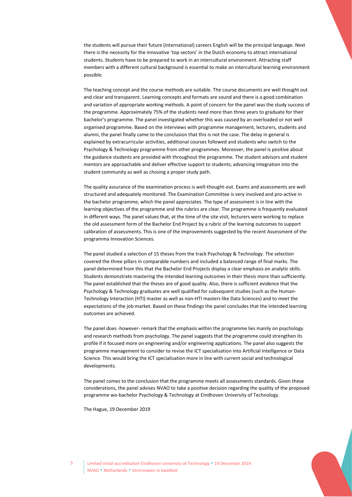the students will pursue their future (international) careers English will be the principal language. Next there is the necessity for the innovative 'top sectors' in the Dutch economy to attract international students. Students have to be prepared to work in an intercultural environment. Attracting staff members with a different cultural background is essential to make an intercultural learning environment possible.

The teaching concept and the course methods are suitable. The course documents are well thought out and clear and transparent. Learning concepts and formats are sound and there is a good combination and variation of appropriate working methods. A point of concern for the panel was the study success of the programme. Approximately 75% of the students need more than three years to graduate for their bachelor's programme. The panel investigated whether this was caused by an overloaded or not well organised programme. Based on the interviews with programme management, lecturers, students and alumni, the panel finally came to the conclusion that this is not the case. The delay in general is explained by extracurricular activities, additional courses followed and students who switch to the Psychology & Technology programme from other programmes. Moreover, the panel is positive about the guidance students are provided with throughout the programme. The student advisors and student mentors are approachable and deliver effective support to students; advancing integration into the student community as well as chosing a proper study path.

The quality assurance of the examination process is well-thought-out. Exams and assessments are well structured and adequately monitored. The Examination Committee is very involved and pro-active in the bachelor programme, which the panel appreciates. The type of assessment is in line with the learning objectives of the programme and the rubrics are clear. The programme is frequently evaluated in different ways. The panel values that, at the time of the site visit, lecturers were working to replace the old assessment form of the Bachelor End Project by a rubric of the learning outcomes to support calibration of assessments. This is one of the improvements suggested by the recent Assessment of the programma Innovation Sciences.

The panel studied a selection of 15 theses from the track Psychology & Technology. The selection covered the three pillars in comparable numbers and included a balanced range of final marks. The panel determined from this that the Bachelor End Projects display a clear emphasis on analytic skills. Students demonstrate mastering the intended learning outcomes in their thesis more than sufficiently. The panel established that the theses are of good quality. Also, there is sufficient evidence that the Psychology & Technology graduates are well qualified for subsequent studies (such as the Human-Technology Interaction (HTI) master as well as non-HTI masters like Data Sciences) and to meet the expectations of the job market. Based on these findings the panel concludes that the intended learning outcomes are achieved.

The panel does -however- remark that the emphasis within the programme lies mainly on psychology and research methods from psychology. The panel suggests that the programme could strengthen its profile if it focused more on engineering and/or engineering applications. The panel also suggests the programme management to consider to revise the ICT specialisation into Artificial Intelligence or Data Science. This would bring the ICT specialisation more in line with current social and technological developments.

The panel comes to the conclusion that the programme meets all assessments standards. Given these considerations, the panel advises NVAO to take a positive decision regarding the quality of the proposed programme wo-bachelor Psychology & Technology at Eindhoven University of Technology.

The Hague, 19 December 2019

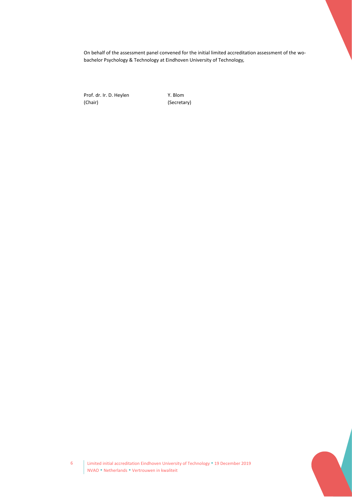On behalf of the assessment panel convened for the initial limited accreditation assessment of the wobachelor Psychology & Technology at Eindhoven University of Technology*,*

Prof. dr. Ir. D. Heylen Y. Blom<br>
(Chair) (Secreta

(Secretary)



6 Limited initial accreditation Eindhoven University of Technology 19 December 2019 NVAO · Netherlands · Vertrouwen in kwaliteit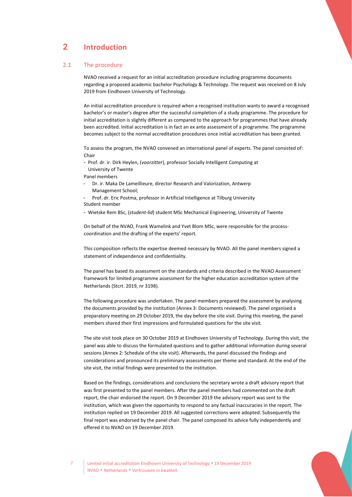# <span id="page-6-0"></span>2 **Introduction**

#### 2.1 The procedure

<span id="page-6-1"></span>NVAO received a request for an initial accreditation procedure including programme documents regarding a proposed academic bachelor Psychology & Technology. The request was received on 8 July 2019 from Eindhoven University of Technology.

An initial accreditation procedure is required when a recognised institution wants to award a recognised bachelor's or master's degree after the successful completion of a study programme. The procedure for initial accreditation is slightly different as compared to the approach for programmes that have already been accredited. Initial accreditation is in fact an ex ante assessment of a programme. The programme becomes subject to the normal accreditation procedures once initial accreditation has been granted.

To assess the program, the NVAO convened an international panel of experts. The panel consisted of: **Chair** 

- Prof. dr. ir. Dirk Heylen, (*voorzitter*), professor Socially Intelligent Computing at University of Twente
- Panel members
- Dr. ir. Maka De Lameillieure, director Research and Valorization, Antwerp Management School;
- Prof. dr. Eric Postma, professor in Artificial Intelligence at Tilburg University Student member
- Wietske Rem BSc, (*student-lid*) student MSc Mechanical Engineering, University of Twente

On behalf of the NVAO, Frank Wamelink and Yvet Blom MSc, were responsible for the processcoordination and the drafting of the experts' report.

This composition reflects the expertise deemed necessary by NVAO. All the panel members signed a statement of independence and confidentiality.

The panel has based its assessment on the standards and criteria described in the NVAO Assessment framework for limited programme assessment for the higher education accreditation system of the Netherlands (Stcrt. 2019, nr 3198).

The following procedure was undertaken. The panel members prepared the assessment by analysing the documents provided by the institution (Annex 3: Documents reviewed). The panel organised a preparatory meeting on 29 October 2019, the day before the site visit. During this meeting, the panel members shared their first impressions and formulated questions for the site visit.

The site visit took place on 30 October 2019 at Eindhoven University of Technology. During this visit, the panel was able to discuss the formulated questions and to gather additional information during several sessions (Annex 2: Schedule of the site visit). Afterwards, the panel discussed the findings and considerations and pronounced its preliminary assessments per theme and standard. At the end of the site visit, the initial findings were presented to the institution.

Based on the findings, considerations and conclusions the secretary wrote a draft advisory report that was first presented to the panel members. After the panel members had commented on the draft report, the chair endorsed the report. On 9 December 2019 the advisory report was sent to the institution, which was given the opportunity to respond to any factual inaccuracies in the report. The institution replied on 19 December 2019. All suggested corrections were adopted. Subsequently the final report was endorsed by the panel chair. The panel composed its advice fully independently and offered it to NVAO on 19 December 2019.



Limited initial accreditation Eindhoven University of Technology . 19 December 2019 NVAO Netherlands Vertrouwen in kwaliteit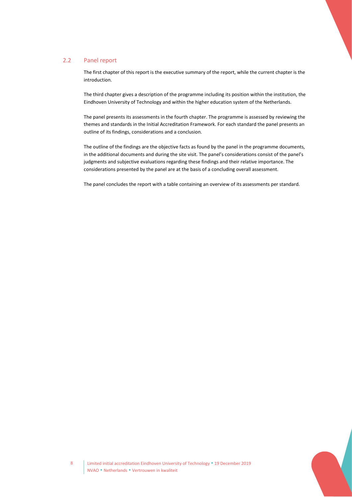#### 2.2 Panel report

<span id="page-7-0"></span>The first chapter of this report is the executive summary of the report, while the current chapter is the introduction.

The third chapter gives a description of the programme including its position within the institution, the Eindhoven University of Technology and within the higher education system of the Netherlands.

The panel presents its assessments in the fourth chapter. The programme is assessed by reviewing the themes and standards in the Initial Accreditation Framework. For each standard the panel presents an outline of its findings, considerations and a conclusion.

The outline of the findings are the objective facts as found by the panel in the programme documents, in the additional documents and during the site visit. The panel's considerations consist of the panel's judgments and subjective evaluations regarding these findings and their relative importance. The considerations presented by the panel are at the basis of a concluding overall assessment.

The panel concludes the report with a table containing an overview of its assessments per standard.

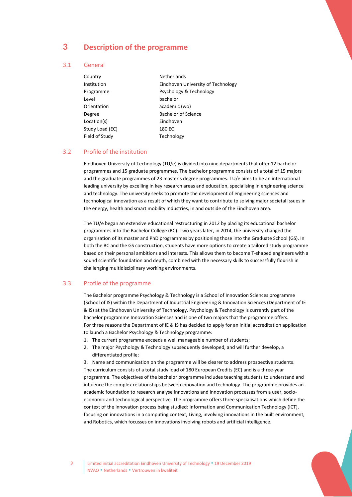## <span id="page-8-0"></span>3 **Description of the programme**

#### 3.1 General

<span id="page-8-1"></span>

| <b>Netherlands</b>                 |
|------------------------------------|
| Eindhoven University of Technology |
| Psychology & Technology            |
| bachelor                           |
| academic (wo)                      |
| <b>Bachelor of Science</b>         |
| Eindhoven                          |
| 180 EC                             |
| Technology                         |
|                                    |

#### 3.2 Profile of the institution

<span id="page-8-2"></span>Eindhoven University of Technology (TU/e) is divided into nine departments that offer 12 bachelor programmes and 15 graduate programmes. The bachelor programme consists of a total of 15 majors and the graduate programmes of 23 master's degree programmes. TU/e aims to be an international leading university by excelling in key research areas and education, specialising in engineering science and technology. The university seeks to promote the development of engineering sciences and technological innovation as a result of which they want to contribute to solving major societal issues in the energy, health and smart mobility industries, in and outside of the Eindhoven area.

The TU/e began an extensive educational restructuring in 2012 by placing its educational bachelor programmes into the Bachelor College (BC). Two years later, in 2014, the university changed the organisation of its master and PhD programmes by positioning those into the Graduate School (GS). In both the BC and the GS construction, students have more options to create a tailored study programme based on their personal ambitions and interests. This allows them to become T-shaped engineers with a sound scientific foundation and depth, combined with the necessary skills to successfully flourish in challenging multidisciplinary working environments.

#### 3.3 Profile of the programme

<span id="page-8-3"></span>The Bachelor programme Psychology & Technology is a School of Innovation Sciences programme (School of IS) within the Department of Industrial Engineering & Innovation Sciences (Department of IE & IS) at the Eindhoven University of Technology. Psychology & Technology is currently part of the bachelor programme Innovation Sciences and is one of two majors that the programme offers. For three reasons the Department of IE & IS has decided to apply for an initial accreditation application to launch a Bachelor Psychology & Technology programme:

- 1. The current programme exceeds a well manageable number of students;
- 2. The major Psychology & Technology subsequently developed, and will further develop, a differentiated profile;

3. Name and communication on the programme will be clearer to address prospective students. The curriculum consists of a total study load of 180 European Credits (EC) and is a three-year programme. The objectives of the bachelor programme includes teaching students to understand and influence the complex relationships between innovation and technology. The programme provides an academic foundation to research analyse innovations and innovation processes from a user, socioeconomic and technological perspective. The programme offers three specialisations which define the context of the innovation process being studied: Information and Communication Technology (ICT), focusing on innovations in a computing context, Living, involving innovations in the built environment, and Robotics, which focusses on innovations involving robots and artificial intelligence.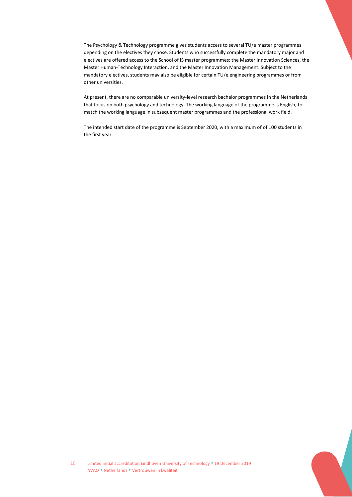The Psychology & Technology programme gives students access to several TU/e master programmes depending on the electives they chose. Students who successfully complete the mandatory major and electives are offered access to the School of IS master programmes: the Master Innovation Sciences, the Master Human-Technology Interaction, and the Master Innovation Management. Subject to the mandatory electives, students may also be eligible for certain TU/e engineering programmes or from other universities.

At present, there are no comparable university-level research bachelor programmes in the Netherlands that focus on both psychology and technology. The working language of the programme is English, to match the working language in subsequent master programmes and the professional work field.

The intended start date of the programme is September 2020, with a maximum of of 100 students in the first year.

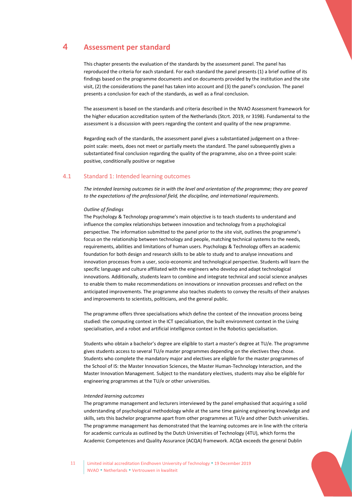## <span id="page-10-0"></span>4 **Assessment per standard**

This chapter presents the evaluation of the standards by the assessment panel. The panel has reproduced the criteria for each standard. For each standard the panel presents (1) a brief outline of its findings based on the programme documents and on documents provided by the institution and the site visit, (2) the considerations the panel has taken into account and (3) the panel's conclusion. The panel presents a conclusion for each of the standards, as well as a final conclusion.

The assessment is based on the standards and criteria described in the NVAO Assessment framework for the higher education accreditation system of the Netherlands (Stcrt. 2019, nr 3198). Fundamental to the assessment is a discussion with peers regarding the content and quality of the new programme.

Regarding each of the standards, the assessment panel gives a substantiated judgement on a threepoint scale: meets, does not meet or partially meets the standard. The panel subsequently gives a substantiated final conclusion regarding the quality of the programme, also on a three-point scale: positive, conditionally positive or negative

#### <span id="page-10-1"></span>4.1 Standard 1: Intended learning outcomes

*The intended learning outcomes tie in with the level and orientation of the programme; they are geared to the expectations of the professional field, the discipline, and international requirements.*

#### *Outline of findings*

The Psychology & Technology programme's main objective is to teach students to understand and influence the complex relationships between innovation and technology from a psychological perspective. The information submitted to the panel prior to the site visit, outlines the programme's focus on the relationship between technology and people, matching technical systems to the needs, requirements, abilities and limitations of human users. Psychology & Technology offers an academic foundation for both design and research skills to be able to study and to analyse innovations and innovation processes from a user, socio-economic and technological perspective. Students will learn the specific language and culture affiliated with the engineers who develop and adapt technological innovations. Additionally, students learn to combine and integrate technical and social science analyses to enable them to make recommendations on innovations or innovation processes and reflect on the anticipated improvements. The programme also teaches students to convey the results of their analyses and improvements to scientists, politicians, and the general public.

The programme offers three specialisations which define the context of the innovation process being studied: the computing context in the ICT specialisation, the built environment context in the Living specialisation, and a robot and artificial intelligence context in the Robotics specialisation.

Students who obtain a bachelor's degree are eligible to start a master's degree at TU/e. The programme gives students access to several TU/e master programmes depending on the electives they chose. Students who complete the mandatory major and electives are eligible for the master programmes of the School of IS: the Master Innovation Sciences, the Master Human-Technology Interaction, and the Master Innovation Management. Subject to the mandatory electives, students may also be eligible for engineering programmes at the TU/e or other universities.

#### *Intended learning outcomes*

The programme management and lecturers interviewed by the panel emphasised that acquiring a solid understanding of psychological methodology while at the same time gaining engineering knowledge and skills, sets this bachelor programme apart from other programmes at TU/e and other Dutch universities. The programme management has demonstrated that the learning outcomes are in line with the criteria for academic curricula as outlined by the Dutch Universities of Technology (4TU), which forms the Academic Competences and Quality Assurance (ACQA) framework. ACQA exceeds the general Dublin

11 | Limited initial accreditation Eindhoven University of Technology . 19 December 2019 NVAO Netherlands Vertrouwen in kwaliteit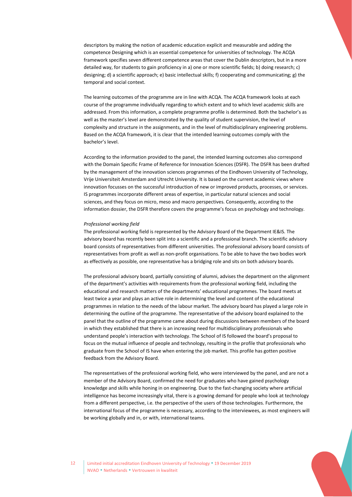descriptors by making the notion of academic education explicit and measurable and adding the competence Designing which is an essential competence for universities of technology. The ACQA framework specifies seven different competence areas that cover the Dublin descriptors, but in a more detailed way, for students to gain proficiency in a) one or more scientific fields; b) doing research; c) designing; d) a scientific approach; e) basic intellectual skills; f) cooperating and communicating; g) the temporal and social context.

The learning outcomes of the programme are in line with ACQA. The ACQA framework looks at each course of the programme individually regarding to which extent and to which level academic skills are addressed. From this information, a complete programme profile is determined. Both the bachelor's as well as the master's level are demonstrated by the quality of student supervision, the level of complexity and structure in the assignments, and in the level of multidisciplinary engineering problems. Based on the ACQA framework, it is clear that the intended learning outcomes comply with the bachelor's level.

According to the information provided to the panel, the intended learning outcomes also correspond with the Domain Specific Frame of Reference for Innovation Sciences (DSFR). The DSFR has been drafted by the management of the innovation sciences programmes of the Eindhoven University of Technology, Vrije Universiteit Amsterdam and Utrecht University. It is based on the current academic views where innovation focusses on the successful introduction of new or improved products, processes, or services. IS programmes incorporate different areas of expertise, in particular natural sciences and social sciences, and they focus on micro, meso and macro perspectives. Consequently, according to the information dossier, the DSFR therefore covers the programme's focus on psychology and technology.

#### *Professional working field*

The professional working field is represented by the Advisory Board of the Department IE&IS. The advisory board has recently been split into a scientific and a professional branch. The scientific advisory board consists of representatives from different universities. The professional advisory board consists of representatives from profit as well as non-profit organisations. To be able to have the two bodies work as effectively as possible, one representative has a bridging role and sits on both advisory boards.

The professional advisory board, partially consisting of alumni, advises the department on the alignment of the department's activities with requirements from the professional working field, including the educational and research matters of the departments' educational programmes. The board meets at least twice a year and plays an active role in determining the level and content of the educational programmes in relation to the needs of the labour market. The advisory board has played a large role in determining the outline of the programme. The representative of the advisory board explained to the panel that the outline of the programme came about during discussions between members of the board in which they established that there is an increasing need for multidisciplinary professionals who understand people's interaction with technology. The School of IS followed the board's proposal to focus on the mutual influence of people and technology, resulting in the profile that professionals who graduate from the School of IS have when entering the job market. This profile has gotten positive feedback from the Advisory Board.

The representatives of the professional working field, who were interviewed by the panel, and are not a member of the Advisory Board, confirmed the need for graduates who have gained psychology knowledge and skills while honing in on engineering. Due to the fast-changing society where artificial intelligence has become increasingly vital, there is a growing demand for people who look at technology from a different perspective, i.e. the perspective of the users of those technologies. Furthermore, the international focus of the programme is necessary, according to the interviewees, as most engineers will be working globally and in, or with, international teams.



12 | Limited initial accreditation Eindhoven University of Technology . 19 December 2019 NVAO Netherlands Vertrouwen in kwaliteit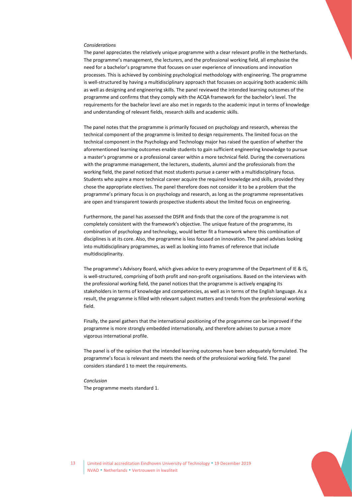#### *Considerations*

The panel appreciates the relatively unique programme with a clear relevant profile in the Netherlands. The programme's management, the lecturers, and the professional working field, all emphasise the need for a bachelor's programme that focuses on user experience of innovations and innovation processes. This is achieved by combining psychological methodology with engineering. The programme is well-structured by having a multidisciplinary approach that focusses on acquiring both academic skills as well as designing and engineering skills. The panel reviewed the intended learning outcomes of the programme and confirms that they comply with the ACQA framework for the bachelor's level. The requirements for the bachelor level are also met in regards to the academic input in terms of knowledge and understanding of relevant fields, research skills and academic skills.

The panel notes that the programme is primarily focused on psychology and research, whereas the technical component of the programme is limited to design requirements. The limited focus on the technical component in the Psychology and Technology major has raised the question of whether the aforementioned learning outcomes enable students to gain sufficient engineering knowledge to pursue a master's programme or a professional career within a more technical field. During the conversations with the programme management, the lecturers, students, alumni and the professionals from the working field, the panel noticed that most students pursue a career with a multidisciplinary focus. Students who aspire a more technical career acquire the required knowledge and skills, provided they chose the appropriate electives. The panel therefore does not consider it to be a problem that the programme's primary focus is on psychology and research, as long as the programme representatives are open and transparent towards prospective students about the limited focus on engineering.

Furthermore, the panel has assessed the DSFR and finds that the core of the programme is not completely consistent with the framework's objective. The unique feature of the programme, its combination of psychology and technology, would better fit a framework where this combination of disciplines is at its core. Also, the programme is less focused on innovation. The panel advises looking into multidisciplinary programmes, as well as looking into frames of reference that include multidisciplinarity.

The programme's Advisory Board, which gives advice to every programme of the Department of IE & IS, is well-structured, comprising of both profit and non-profit organisations. Based on the interviews with the professional working field, the panel notices that the programme is actively engaging its stakeholders in terms of knowledge and competencies, as well as in terms of the English language. As a result, the programme is filled with relevant subject matters and trends from the professional working field.

Finally, the panel gathers that the international positioning of the programme can be improved if the programme is more strongly embedded internationally, and therefore advises to pursue a more vigorous international profile.

The panel is of the opinion that the intended learning outcomes have been adequately formulated. The programme's focus is relevant and meets the needs of the professional working field. The panel considers standard 1 to meet the requirements.

*Conclusion* The programme meets standard 1.

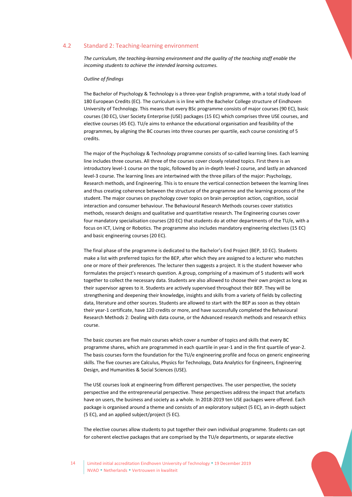#### 4.2 Standard 2: Teaching-learning environment

<span id="page-13-0"></span>*The curriculum, the teaching-learning environment and the quality of the teaching staff enable the incoming students to achieve the intended learning outcomes.*

#### *Outline of findings*

The Bachelor of Psychology & Technology is a three-year English programme, with a total study load of 180 European Credits (EC). The curriculum is in line with the Bachelor College structure of Eindhoven University of Technology. This means that every BSc programme consists of major courses (90 EC), basic courses (30 EC), User Society Enterprise (USE) packages (15 EC) which comprises three USE courses, and elective courses (45 EC). TU/e aims to enhance the educational organisation and feasibility of the programmes, by aligning the BC courses into three courses per quartile, each course consisting of 5 credits.

The major of the Psychology & Technology programme consists of so-called learning lines. Each learning line includes three courses. All three of the courses cover closely related topics. First there is an introductory level-1 course on the topic, followed by an in-depth level-2 course, and lastly an advanced level-3 course. The learning lines are intertwined with the three pillars of the major: Psychology, Research methods, and Engineering. This is to ensure the vertical connection between the learning lines and thus creating coherence between the structure of the programme and the learning process of the student. The major courses on psychology cover topics on brain perception action, cognition, social interaction and consumer behaviour. The Behavioural Research Methods courses cover statistics methods, research designs and qualitative and quantitative research. The Engineering courses cover four mandatory specialisation courses (20 EC) that students do at other departments of the TU/e, with a focus on ICT, Living or Robotics. The programme also includes mandatory engineering electives (15 EC) and basic engineering courses (20 EC).

The final phase of the programme is dedicated to the Bachelor's End Project (BEP, 10 EC). Students make a list with preferred topics for the BEP, after which they are assigned to a lecturer who matches one or more of their preferences. The lecturer then suggests a project. It is the student however who formulates the project's research question. A group, comprising of a maximum of 5 students will work together to collect the necessary data. Students are also allowed to choose their own project as long as their supervisor agrees to it. Students are actively supervised throughout their BEP. They will be strengthening and deepening their knowledge, insights and skills from a variety of fields by collecting data, literature and other sources. Students are allowed to start with the BEP as soon as they obtain their year-1 certificate, have 120 credits or more, and have successfully completed the Behavioural Research Methods 2: Dealing with data course, or the Advanced research methods and research ethics course.

The basic courses are five main courses which cover a number of topics and skills that every BC programme shares, which are programmed in each quartile in year-1 and in the first quartile of year-2. The basis courses form the foundation for the TU/e engineering profile and focus on generic engineering skills. The five courses are Calculus, Physics for Technology, Data Analytics for Engineers, Engineering Design, and Humanities & Social Sciences (USE).

The USE courses look at engineering from different perspectives. The user perspective, the society perspective and the entrepreneurial perspective. These perspectives address the impact that artefacts have on users, the business and society as a whole. In 2018-2019 ten USE packages were offered. Each package is organised around a theme and consists of an exploratory subject (5 EC), an in-depth subject (5 EC), and an applied subject/project (5 EC).

The elective courses allow students to put together their own individual programme. Students can opt for coherent elective packages that are comprised by the TU/e departments, or separate elective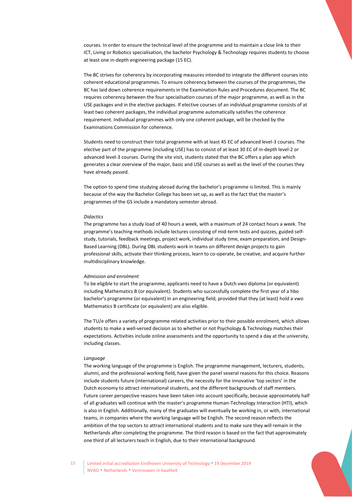courses. In order to ensure the technical level of the programme and to maintain a close link to their ICT, Living or Robotics specialisation, the bachelor Psychology & Technology requires students to choose at least one in-depth engineering package (15 EC).

The BC strives for coherency by incorporating measures intended to integrate the different courses into coherent educational programmes. To ensure coherency between the courses of the programmes, the BC has laid down coherence requirements in the Examination Rules and Procedures document. The BC requires coherency between the four specialisation courses of the major programme, as well as in the USE packages and in the elective packages. If elective courses of an individual programme consists of at least two coherent packages, the individual programme automatically satisfies the coherence requirement. Individual programmes with only one coherent package, will be checked by the Examinations Commission for coherence.

Students need to construct their total programme with at least 45 EC of advanced level-3 courses. The elective part of the programme (including USE) has to consist of at least 30 EC of in-depth level-2 or advanced level-3 courses. During the site visit, students stated that the BC offers a plan app which generates a clear overview of the major, basic and USE courses as well as the level of the courses they have already passed.

The option to spend time studying abroad during the bachelor's programme is limited. This is mainly because of the way the Bachelor College has been set up, as well as the fact that the master's programmes of the GS include a mandatory semester abroad.

#### *Didactics*

The programme has a study load of 40 hours a week, with a maximum of 24 contact hours a week. The programme's teaching methods include lectures consisting of mid-term tests and quizzes, guided selfstudy, tutorials, feedback meetings, project work, individual study time, exam preparation, and Design-Based Learning (DBL). During DBL students work in teams on different design projects to gain professional skills, activate their thinking process, learn to co-operate, be creative, and acquire further multidisciplinary knowledge.

#### *Admission and enrolment*

To be eligible to start the programme, applicants need to have a Dutch vwo diploma (or equivalent) including Mathematics B (or equivalent). Students who successfully complete the first year of a hbo bachelor's programme (or equivalent) in an engineering field, provided that they (at least) hold a vwo Mathematics B certificate (or equivalent) are also eligible.

The TU/e offers a variety of programme related activities prior to their possible enrolment, which allows students to make a well-versed decision as to whether or not Psychology & Technology matches their expectations. Activities include online assessments and the opportunity to spend a day at the university, including classes.

#### *Language*

The working language of the programme is English. The programme management, lecturers, students, alumni, and the professional working field, have given the panel several reasons for this choice. Reasons include students future (international) careers, the necessity for the innovative 'top sectors' in the Dutch economy to attract international students, and the different backgrounds of staff members. Future career perspective reasons have been taken into account specifically, because approximately half of all graduates will continue with the master's programme Human-Technology Interaction (HTI), which is also in English. Additionally, many of the graduates will eventually be working in, or with, international teams, in companies where the working language will be English. The second reason reflects the ambition of the top sectors to attract international students and to make sure they will remain in the Netherlands after completing the programme. The third reason is based on the fact that approximately one third of all lecturers teach in English, due to their international background.

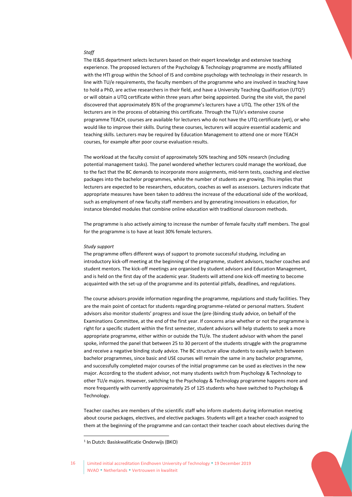#### *Staff*

The IE&IS department selects lecturers based on their expert knowledge and extensive teaching experience. The proposed lecturers of the Psychology & Technology programme are mostly affiliated with the HTI group within the School of IS and combine psychology with technology in their research. In line with TU/e requirements, the faculty members of the programme who are involved in teaching have to hold a PhD, are active researchers in their field, and have a University Teaching Qualification (UTQ $^1$ ) or will obtain a UTQ certificate within three years after being appointed. During the site visit, the panel discovered that approximately 85% of the programme's lecturers have a UTQ. The other 15% of the lecturers are in the process of obtaining this certificate. Through the TU/e's extensive course programme TEACH, courses are available for lecturers who do not have the UTQ certificate (yet), or who would like to improve their skills. During these courses, lecturers will acquire essential academic and teaching skills. Lecturers may be required by Education Management to attend one or more TEACH courses, for example after poor course evaluation results.

The workload at the faculty consist of approximately 50% teaching and 50% research (including potential management tasks). The panel wondered whether lecturers could manage the workload, due to the fact that the BC demands to incorporate more assignments, mid-term tests, coaching and elective packages into the bachelor programmes, while the number of students are growing. This implies that lecturers are expected to be researchers, educators, coaches as well as assessors. Lecturers indicate that appropriate measures have been taken to address the increase of the educational side of the workload, such as employment of new faculty staff members and by generating innovations in education, for instance blended modules that combine online education with traditional classroom methods.

The programme is also actively aiming to increase the number of female faculty staff members. The goal for the programme is to have at least 30% female lecturers.

#### *Study support*

The programme offers different ways of support to promote successful studying, including an introductory kick-off meeting at the beginning of the programme, student advisors, teacher coaches and student mentors. The kick-off meetings are organised by student advisors and Education Management, and is held on the first day of the academic year. Students will attend one kick-off meeting to become acquainted with the set-up of the programme and its potential pitfalls, deadlines, and regulations.

The course advisors provide information regarding the programme, regulations and study facilities. They are the main point of contact for students regarding programme-related or personal matters. Student advisors also monitor students' progress and issue the (pre-)binding study advice, on behalf of the Examinations Committee, at the end of the first year. If concerns arise whether or not the programme is right for a specific student within the first semester, student advisors will help students to seek a more appropriate programme, either within or outside the TU/e. The student advisor with whom the panel spoke, informed the panel that between 25 to 30 percent of the students struggle with the programme and receive a negative binding study advice. The BC structure allow students to easily switch between bachelor programmes, since basic and USE courses will remain the same in any bachelor programme, and successfully completed major courses of the initial programme can be used as electives in the new major. According to the student advisor, not many students switch from Psychology & Technology to other TU/e majors. However, switching to the Psychology & Technology programme happens more and more frequently with currently approximately 25 of 125 students who have switched to Psychology & Technology.

Teacher coaches are members of the scientific staff who inform students during information meeting about course packages, electives, and elective packages. Students will get a teacher coach assigned to them at the beginning of the programme and can contact their teacher coach about electives during the



<sup>1</sup> In Dutch: Basiskwalificatie Onderwijs (BKO)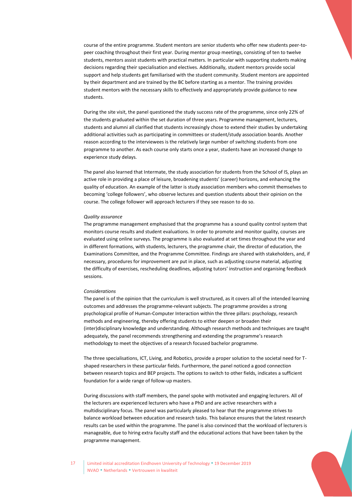course of the entire programme. Student mentors are senior students who offer new students peer-topeer coaching throughout their first year. During mentor group meetings, consisting of ten to twelve students, mentors assist students with practical matters. In particular with supporting students making decisions regarding their specialisation and electives. Additionally, student mentors provide social support and help students get familiarised with the student community. Student mentors are appointed by their department and are trained by the BC before starting as a mentor. The training provides student mentors with the necessary skills to effectively and appropriately provide guidance to new students.

During the site visit, the panel questioned the study success rate of the programme, since only 22% of the students graduated within the set duration of three years. Programme management, lecturers, students and alumni all clarified that students increasingly chose to extend their studies by undertaking additional activities such as participating in committees or student/study association boards. Another reason according to the interviewees is the relatively large number of switching students from one programme to another. As each course only starts once a year, students have an increased change to experience study delays.

The panel also learned that Intermate, the study association for students from the School of IS, plays an active role in providing a place of leisure, broadening students' (career) horizons, and enhancing the quality of education. An example of the latter is study association members who commit themselves to becoming 'college followers', who observe lectures and question students about their opinion on the course. The college follower will approach lecturers if they see reason to do so.

#### *Quality assurance*

The programme management emphasised that the programme has a sound quality control system that monitors course results and student evaluations. In order to promote and monitor quality, courses are evaluated using online surveys. The programme is also evaluated at set times throughout the year and in different formations, with students, lecturers, the programme chair, the director of education, the Examinations Committee, and the Programme Committee. Findings are shared with stakeholders, and, if necessary, procedures for improvement are put in place, such as adjusting course material, adjusting the difficulty of exercises, rescheduling deadlines, adjusting tutors' instruction and organising feedback sessions.

#### *Considerations*

The panel is of the opinion that the curriculum is well structured, as it covers all of the intended learning outcomes and addresses the programme-relevant subjects. The programme provides a strong psychological profile of Human-Computer Interaction within the three pillars: psychology, research methods and engineering, thereby offering students to either deepen or broaden their (inter)disciplinary knowledge and understanding. Although research methods and techniques are taught adequately, the panel recommends strengthening and extending the programme's research methodology to meet the objectives of a research focused bachelor programme.

The three specialisations, ICT, Living, and Robotics, provide a proper solution to the societal need for Tshaped researchers in these particular fields. Furthermore, the panel noticed a good connection between research topics and BEP projects. The options to switch to other fields, indicates a sufficient foundation for a wide range of follow-up masters.

During discussions with staff members, the panel spoke with motivated and engaging lecturers. All of the lecturers are experienced lecturers who have a PhD and are active researchers with a multidisciplinary focus. The panel was particularly pleased to hear that the programme strives to balance workload between education and research tasks. This balance ensures that the latest research results can be used within the programme. The panel is also convinced that the workload of lecturers is manageable, due to hiring extra faculty staff and the educational actions that have been taken by the programme management.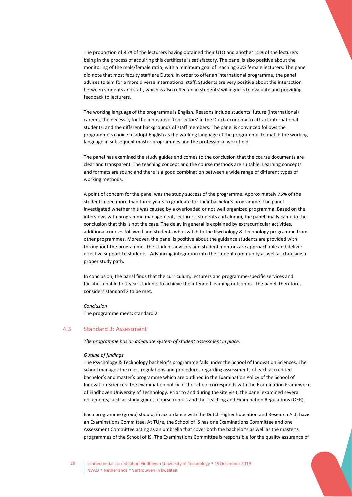The proportion of 85% of the lecturers having obtained their UTQ and another 15% of the lecturers being in the process of acquiring this certificate is satisfactory. The panel is also positive about the monitoring of the male/female ratio, with a minimum goal of reaching 30% female lecturers. The panel did note that most faculty staff are Dutch. In order to offer an international programme, the panel advises to aim for a more diverse international staff. Students are very positive about the interaction between students and staff, which is also reflected in students' willingness to evaluate and providing feedback to lecturers.

The working language of the programme is English. Reasons include students' future (international) careers, the necessity for the innovative 'top sectors' in the Dutch economy to attract international students, and the different backgrounds of staff members. The panel is convinced follows the programme's choice to adopt English as the working language of the programme, to match the working language in subsequent master programmes and the professional work field.

The panel has examined the study guides and comes to the conclusion that the course documents are clear and transparent. The teaching concept and the course methods are suitable. Learning concepts and formats are sound and there is a good combination between a wide range of different types of working methods.

A point of concern for the panel was the study success of the programme. Approximately 75% of the students need more than three years to graduate for their bachelor's programme. The panel investigated whether this was caused by a overloaded or not well organized programma. Based on the interviews with programme management, lecturers, students and alumni, the panel finally came to the conclusion that this is not the case. The delay in general is explained by extracurricular activities, additional courses followed and students who switch to the Psychology & Technology programme from other programmes. Moreover, the panel is positive about the guidance students are provided with throughout the programme. The student advisors and student mentors are approachable and deliver effective support to students. Advancing integration into the student community as well as choosing a proper study path.

In conclusion, the panel finds that the curriculum, lecturers and programme-specific services and facilities enable first-year students to achieve the intended learning outcomes. The panel, therefore, considers standard 2 to be met.

<span id="page-17-0"></span>*Conclusion* The programme meets standard 2

#### 4.3 Standard 3: Assessment

*The programme has an adequate system of student assessment in place.*

#### *Outline of findings*

The Psychology & Technology bachelor's programme falls under the School of Innovation Sciences. The school manages the rules, regulations and procedures regarding assessments of each accredited bachelor's and master's programme which are outlined in the Examination Policy of the School of Innovation Sciences. The examination policy of the school corresponds with the Examination Framework of Eindhoven University of Technology. Prior to and during the site visit, the panel examined several documents, such as study guides, course rubrics and the Teaching and Examination Regulations (OER).

Each programme (group) should, in accordance with the Dutch Higher Education and Research Act, have an Examinations Committee. At TU/e, the School of IS has one Examinations Committee and one Assessment Committee acting as an umbrella that cover both the bachelor's as well as the master's programmes of the School of IS. The Examinations Committee is responsible for the quality assurance of

18 | Limited initial accreditation Eindhoven University of Technology . 19 December 2019 NVAO Netherlands Vertrouwen in kwaliteit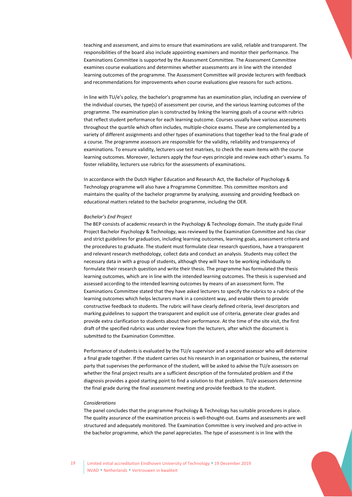teaching and assessment, and aims to ensure that examinations are valid, reliable and transparent. The responsibilities of the board also include appointing examiners and monitor their performance. The Examinations Committee is supported by the Assessment Committee. The Assessment Committee examines course evaluations and determines whether assessments are in line with the intended learning outcomes of the programme. The Assessment Committee will provide lecturers with feedback and recommendations for improvements when course evaluations give reasons for such actions.

In line with TU/e's policy, the bachelor's programme has an examination plan, including an overview of the individual courses, the type(s) of assessment per course, and the various learning outcomes of the programme. The examination plan is constructed by linking the learning goals of a course with rubrics that reflect student performance for each learning outcome. Courses usually have various assessments throughout the quartile which often includes, multiple-choice exams. These are complemented by a variety of different assignments and other types of examinations that together lead to the final grade of a course. The programme assessors are responsible for the validity, reliability and transparency of examinations. To ensure validity, lecturers use test matrixes, to check the exam items with the course learning outcomes. Moreover, lecturers apply the four-eyes principle and review each other's exams. To foster reliability, lecturers use rubrics for the assessments of examinations.

In accordance with the Dutch Higher Education and Research Act, the Bachelor of Psychology & Technology programme will also have a Programme Committee. This committee monitors and maintains the quality of the bachelor programme by analysing, assessing and providing feedback on educational matters related to the bachelor programme, including the OER.

#### *Bachelor's End Project*

The BEP consists of academic research in the Psychology & Technology domain. The study guide Final Project Bachelor Psychology & Technology, was reviewed by the Examination Committee and has clear and strict guidelines for graduation, including learning outcomes, learning goals, assessment criteria and the procedures to graduate. The student must formulate clear research questions, have a transparent and relevant research methodology, collect data and conduct an analysis. Students may collect the necessary data in with a group of students, although they will have to be working individually to formulate their research question and write their thesis. The programme has formulated the thesis learning outcomes, which are in line with the intended learning outcomes. The thesis is supervised and assessed according to the intended learning outcomes by means of an assessment form. The Examinations Committee stated that they have asked lecturers to specify the rubrics to a rubric of the learning outcomes which helps lecturers mark in a consistent way, and enable them to provide constructive feedback to students. The rubric will have clearly defined criteria, level descriptors and marking guidelines to support the transparent and explicit use of criteria, generate clear grades and provide extra clarification to students about their performance. At the time of the site visit, the first draft of the specified rubrics was under review from the lecturers, after which the document is submitted to the Examination Committee.

Performance of students is evaluated by the TU/e supervisor and a second assessor who will determine a final grade together. If the student carries out his research in an organisation or business, the external party that supervises the performance of the student, will be asked to advise the TU/e assessors on whether the final project results are a sufficient description of the formulated problem and if the diagnosis provides a good starting point to find a solution to that problem. TU/e assessors determine the final grade during the final assessment meeting and provide feedback to the student.

#### *Considerations*

The panel concludes that the programme Psychology & Technology has suitable procedures in place. The quality assurance of the examination process is well-thought-out. Exams and assessments are well structured and adequately monitored. The Examination Committee is very involved and pro-active in the bachelor programme, which the panel appreciates. The type of assessment is in line with the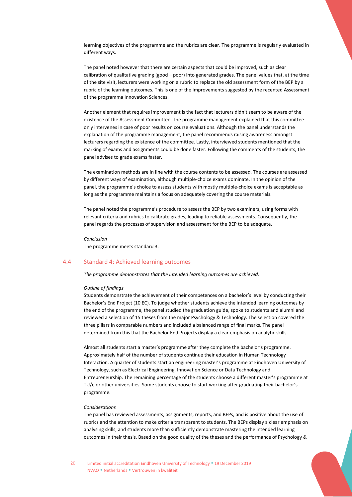learning objectives of the programme and the rubrics are clear. The programme is regularly evaluated in different ways.

The panel noted however that there are certain aspects that could be improved, such as clear calibration of qualitative grading (good – poor) into generated grades. The panel values that, at the time of the site visit, lecturers were working on a rubric to replace the old assessment form of the BEP by a rubric of the learning outcomes. This is one of the improvements suggested by the recented Assessment of the programma Innovation Sciences.

Another element that requires improvement is the fact that lecturers didn't seem to be aware of the existence of the Assessment Committee. The programme management explained that this committee only intervenes in case of poor results on course evaluations. Although the panel understands the explanation of the programme management, the panel recommends raising awareness amongst lecturers regarding the existence of the committee. Lastly, interviewed students mentioned that the marking of exams and assignments could be done faster. Following the comments of the students, the panel advises to grade exams faster.

The examination methods are in line with the course contents to be assessed. The courses are assessed by different ways of examination, although multiple-choice exams dominate. In the opinion of the panel, the programme's choice to assess students with mostly multiple-choice exams is acceptable as long as the programme maintains a focus on adequately covering the course materials.

The panel noted the programme's procedure to assess the BEP by two examiners, using forms with relevant criteria and rubrics to calibrate grades, leading to reliable assessments. Consequently, the panel regards the processes of supervision and assessment for the BEP to be adequate.

<span id="page-19-0"></span>*Conclusion* The programme meets standard 3.

### 4.4 Standard 4: Achieved learning outcomes

*The programme demonstrates that the intended learning outcomes are achieved.*

#### *Outline of findings*

Students demonstrate the achievement of their competences on a bachelor's level by conducting their Bachelor's End Project (10 EC). To judge whether students achieve the intended learning outcomes by the end of the programme, the panel studied the graduation guide, spoke to students and alumni and reviewed a selection of 15 theses from the major Psychology & Technology. The selection covered the three pillars in comparable numbers and included a balanced range of final marks. The panel determined from this that the Bachelor End Projects display a clear emphasis on analytic skills.

Almost all students start a master's programme after they complete the bachelor's programme. Approximately half of the number of students continue their education in Human Technology Interaction. A quarter of students start an engineering master's programme at Eindhoven University of Technology, such as Electrical Engineering, Innovation Science or Data Technology and Entrepreneurship. The remaining percentage of the students choose a different master's programme at TU/e or other universities. Some students choose to start working after graduating their bachelor's programme.

#### *Considerations*

The panel has reviewed assessments, assignments, reports, and BEPs, and is positive about the use of rubrics and the attention to make criteria transparent to students. The BEPs display a clear emphasis on analysing skills, and students more than sufficiently demonstrate mastering the intended learning outcomes in their thesis. Based on the good quality of the theses and the performance of Psychology &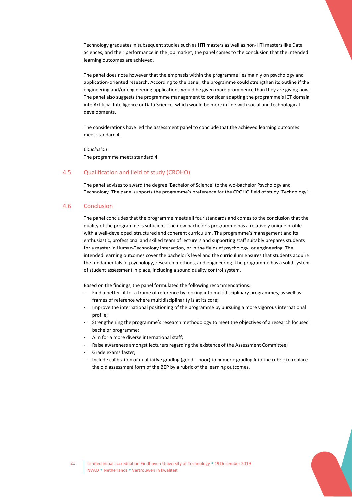Technology graduates in subsequent studies such as HTI masters as well as non-HTI masters like Data Sciences, and their performance in the job market, the panel comes to the conclusion that the intended learning outcomes are achieved.

The panel does note however that the emphasis within the programme lies mainly on psychology and application-oriented research. According to the panel, the programme could strengthen its outline if the engineering and/or engineering applications would be given more prominence than they are giving now. The panel also suggests the programme management to consider adapting the programme's ICT domain into Artificial Intelligence or Data Science, which would be more in line with social and technological developments.

The considerations have led the assessment panel to conclude that the achieved learning outcomes meet standard 4.

<span id="page-20-0"></span>*Conclusion* The programme meets standard 4.

#### 4.5 Qualification and field of study (CROHO)

<span id="page-20-1"></span>The panel advises to award the degree 'Bachelor of Science' to the wo-bachelor Psychology and Technology. The panel supports the programme's preference for the CROHO field of study 'Technology'.

#### 4.6 Conclusion

The panel concludes that the programme meets all four standards and comes to the conclusion that the quality of the programme is sufficient. The new bachelor's programme has a relatively unique profile with a well-developed, structured and coherent curriculum. The programme's management and its enthusiastic, professional and skilled team of lecturers and supporting staff suitably prepares students for a master in Human-Technology Interaction, or in the fields of psychology, or engineering. The intended learning outcomes cover the bachelor's level and the curriculum ensures that students acquire the fundamentals of psychology, research methods, and engineering. The programme has a solid system of student assessment in place, including a sound quality control system.

Based on the findings, the panel formulated the following recommendations:

- Find a better fit for a frame of reference by looking into multidisciplinary programmes, as well as frames of reference where multidisciplinarity is at its core;
- Improve the international positioning of the programme by pursuing a more vigorous international profile;
- Strengthening the programme's research methodology to meet the objectives of a research focused bachelor programme;
- Aim for a more diverse international staff;
- Raise awareness amongst lecturers regarding the existence of the Assessment Committee;
- Grade exams faster;
- Include calibration of qualitative grading (good poor) to numeric grading into the rubric to replace the old assessment form of the BEP by a rubric of the learning outcomes.

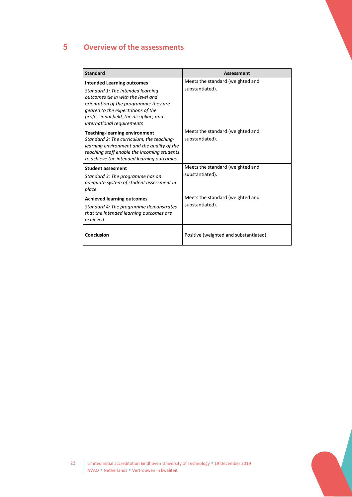# <span id="page-21-0"></span>5 **Overview of the assessments**

| <b>Standard</b>                                                                                                                                                                                                                                                      | <b>Assessment</b>                                   |
|----------------------------------------------------------------------------------------------------------------------------------------------------------------------------------------------------------------------------------------------------------------------|-----------------------------------------------------|
| <b>Intended Learning outcomes</b><br>Standard 1: The intended learning<br>outcomes tie in with the level and<br>orientation of the programme; they are<br>geared to the expectations of the<br>professional field, the discipline, and<br>international requirements | Meets the standard (weighted and<br>substantiated). |
| <b>Teaching-learning environment</b><br>Standard 2: The curriculum, the teaching-<br>learning environment and the quality of the<br>teaching staff enable the incoming students<br>to achieve the intended learning outcomes.                                        | Meets the standard (weighted and<br>substantiated). |
| <b>Student assesment</b><br>Standard 3: The programme has an<br>adequate system of student assessment in<br>place.                                                                                                                                                   | Meets the standard (weighted and<br>substantiated). |
| <b>Achieved learning outcomes</b><br>Standard 4: The programme demonstrates<br>that the intended learning outcomes are<br>achieved.                                                                                                                                  | Meets the standard (weighted and<br>substantiated). |
| Conclusion                                                                                                                                                                                                                                                           | Positive (weighted and substantiated)               |

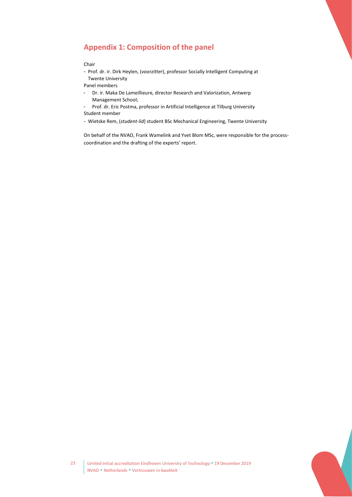# <span id="page-22-0"></span>**Appendix 1: Composition of the panel**

#### Chair

- Prof. dr. ir. Dirk Heylen, (*voorzitter*), professor Socially Intelligent Computing at Twente University

Panel members

- Dr. ir. Maka De Lameillieure, director Research and Valorization, Antwerp Management School;
- Prof. dr. Eric Postma, professor in Artificial Intelligence at Tilburg University Student member

- Wietske Rem, (*student-lid*) student BSc Mechanical Engineering, Twente University

On behalf of the NVAO, Frank Wamelink and Yvet Blom MSc, were responsible for the processcoordination and the drafting of the experts' report.

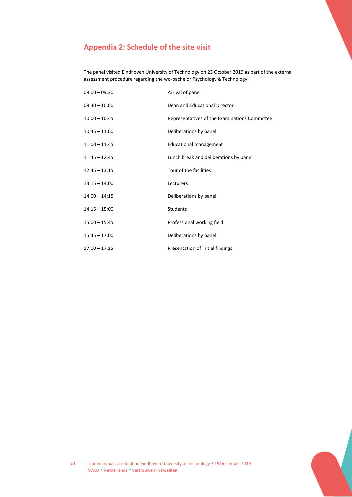# <span id="page-23-0"></span>**Appendix 2: Schedule of the site visit**

The panel visited Eindhoven University of Technology on 23 October 2019 as part of the external assessment procedure regarding the wo-bachelor Psychology & Technology.

| $09:00 - 09:30$ | Arrival of panel                              |
|-----------------|-----------------------------------------------|
| $09:30 - 10:00$ | Dean and Educational Director                 |
| $10:00 - 10:45$ | Representatives of the Examinations Committee |
| $10:45 - 11:00$ | Deliberations by panel                        |
| $11:00 - 11:45$ | <b>Educational management</b>                 |
| $11:45 - 12:45$ | Lunch break and deliberations by panel        |
| $12:45 - 13:15$ | Tour of the facilities                        |
| $13:15 - 14:00$ | Lecturers                                     |
| $14:00 - 14:15$ | Deliberations by panel                        |
| $14:15 - 15:00$ | Students                                      |
| $15:00 - 15:45$ | Professional working field                    |
| $15:45 - 17:00$ | Deliberations by panel                        |
| $17:00 - 17.15$ | Presentation of initial findings              |

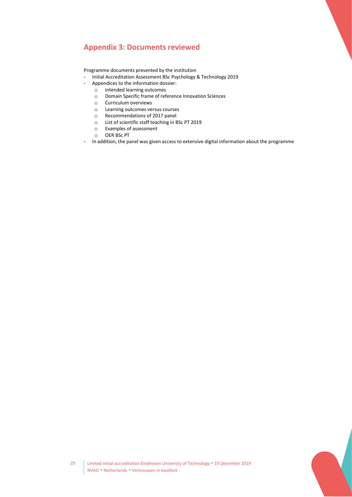# <span id="page-24-0"></span>**Appendix 3: Documents reviewed**

Programme documents presented by the institution

- Initial Accreditation Assessment BSc Psychology & Technology 2019
- Appendices to the information dossier:
	- o Intended learning outcomes
	- o Domain Specific frame of reference Innovation Sciences
	- o Curriculum overviews
	- o Learning outcomes versus courses
	- o Recommendations of 2017 panel
	- o List of scientific staff teaching in BSc PT 2019
	- o Examples of assessment
	- o OER BSc PT
- In addition, the panel was given access to extensive digital information about the programme

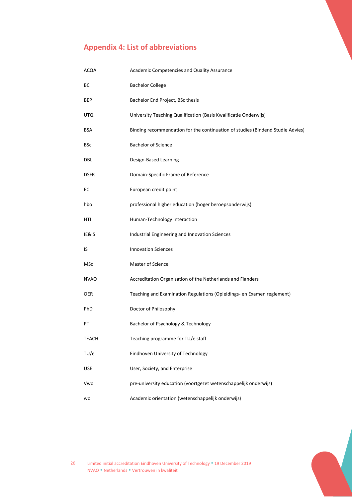# <span id="page-25-0"></span>**Appendix 4: List of abbreviations**

| ACQA         | Academic Competencies and Quality Assurance                                    |
|--------------|--------------------------------------------------------------------------------|
| BС           | <b>Bachelor College</b>                                                        |
| BEP          | Bachelor End Project, BSc thesis                                               |
| UTQ          | University Teaching Qualification (Basis Kwalificatie Onderwijs)               |
| BSA          | Binding recommendation for the continuation of studies (Bindend Studie Advies) |
| BSc          | <b>Bachelor of Science</b>                                                     |
| DBL          | Design-Based Learning                                                          |
| <b>DSFR</b>  | Domain-Specific Frame of Reference                                             |
| EС           | European credit point                                                          |
| hbo          | professional higher education (hoger beroepsonderwijs)                         |
| HTI          | Human-Technology Interaction                                                   |
| IE&IS        | Industrial Engineering and Innovation Sciences                                 |
| IS           | <b>Innovation Sciences</b>                                                     |
| MSc          | Master of Science                                                              |
| <b>NVAO</b>  | Accreditation Organisation of the Netherlands and Flanders                     |
| <b>OER</b>   | Teaching and Examination Regulations (Opleidings- en Examen reglement)         |
| PhD          | Doctor of Philosophy                                                           |
| РT           | Bachelor of Psychology & Technology                                            |
| <b>TEACH</b> | Teaching programme for TU/e staff                                              |
| TU/e         | Eindhoven University of Technology                                             |
| <b>USE</b>   | User, Society, and Enterprise                                                  |
| Vwo          | pre-university education (voortgezet wetenschappelijk onderwijs)               |
| <b>WO</b>    | Academic orientation (wetenschappelijk onderwijs)                              |